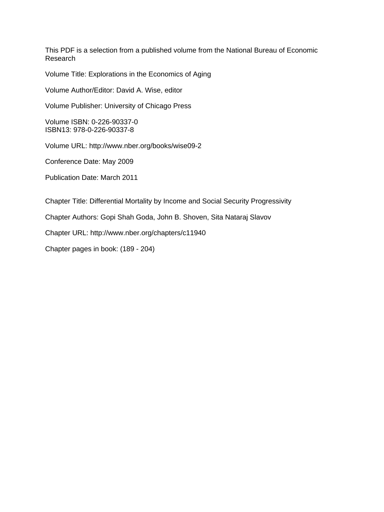This PDF is a selection from a published volume from the National Bureau of Economic Research

Volume Title: Explorations in the Economics of Aging

Volume Author/Editor: David A. Wise, editor

Volume Publisher: University of Chicago Press

Volume ISBN: 0-226-90337-0 ISBN13: 978-0-226-90337-8

Volume URL: http://www.nber.org/books/wise09-2

Conference Date: May 2009

Publication Date: March 2011

Chapter Title: Differential Mortality by Income and Social Security Progressivity

Chapter Authors: Gopi Shah Goda, John B. Shoven, Sita Nataraj Slavov

Chapter URL: http://www.nber.org/chapters/c11940

Chapter pages in book: (189 - 204)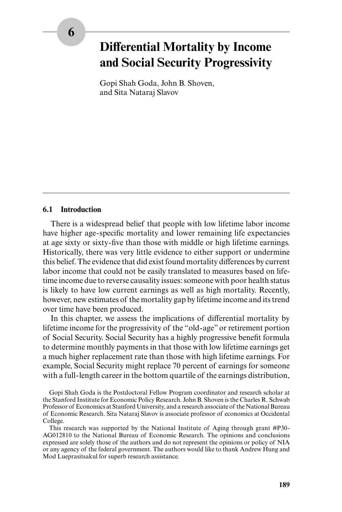# **Differential Mortality by Income and Social Security Progressivity**

Gopi Shah Goda, John B. Shoven, and Sita Nataraj Slavov

## **6.1 Introduction**

There is a widespread belief that people with low lifetime labor income have higher age-specific mortality and lower remaining life expectancies at age sixty or sixty-five than those with middle or high lifetime earnings. Historically, there was very little evidence to either support or undermine this belief. The evidence that did exist found mortality differences by current labor income that could not be easily translated to measures based on lifetime income due to reverse causality issues: someone with poor health status is likely to have low current earnings as well as high mortality. Recently, however, new estimates of the mortality gap by lifetime income and its trend over time have been produced.

In this chapter, we assess the implications of differential mortality by lifetime income for the progressivity of the "old- age" or retirement portion of Social Security. Social Security has a highly progressive benefit formula to determine monthly payments in that those with low lifetime earnings get a much higher replacement rate than those with high lifetime earnings. For example, Social Security might replace 70 percent of earnings for someone with a full- length career in the bottom quartile of the earnings distribution,

Gopi Shah Goda is the Postdoctoral Fellow Program coordinator and research scholar at the Stanford Institute for Economic Policy Research. John B. Shoven is the Charles R. Schwab Professor of Economics at Stanford University, and a research associate of the National Bureau of Economic Research. Sita Nataraj Slavov is associate professor of economics at Occidental College.

This research was supported by the National Institute of Aging through grant #P30- AG012810 to the National Bureau of Economic Research. The opinions and conclusions expressed are solely those of the authors and do not represent the opinions or policy of NIA or any agency of the federal government. The authors would like to thank Andrew Hung and Mod Lueprasitsakul for superb research assistance.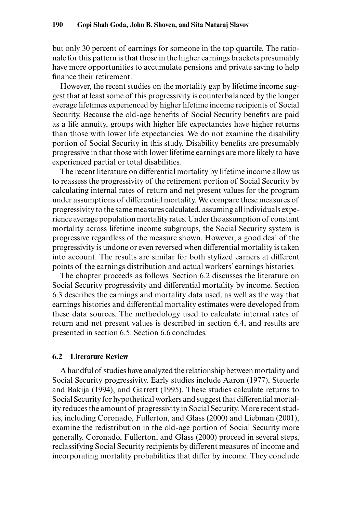but only 30 percent of earnings for someone in the top quartile. The rationale for this pattern is that those in the higher earnings brackets presumably have more opportunities to accumulate pensions and private saving to help finance their retirement.

However, the recent studies on the mortality gap by lifetime income suggest that at least some of this progressivity is counterbalanced by the longer average lifetimes experienced by higher lifetime income recipients of Social Security. Because the old-age benefits of Social Security benefits are paid as a life annuity, groups with higher life expectancies have higher returns than those with lower life expectancies. We do not examine the disability portion of Social Security in this study. Disability benefits are presumably progressive in that those with lower lifetime earnings are more likely to have experienced partial or total disabilities.

The recent literature on differential mortality by lifetime income allow us to reassess the progressivity of the retirement portion of Social Security by calculating internal rates of return and net present values for the program under assumptions of differential mortality. We compare these measures of progressivity to the same measures calculated, assuming all individuals experience average population mortality rates. Under the assumption of constant mortality across lifetime income subgroups, the Social Security system is progressive regardless of the measure shown. However, a good deal of the progressivity is undone or even reversed when differential mortality is taken into account. The results are similar for both stylized earners at different points of the earnings distribution and actual workers' earnings histories.

The chapter proceeds as follows. Section 6.2 discusses the literature on Social Security progressivity and differential mortality by income. Section 6.3 describes the earnings and mortality data used, as well as the way that earnings histories and differential mortality estimates were developed from these data sources. The methodology used to calculate internal rates of return and net present values is described in section 6.4, and results are presented in section 6.5. Section 6.6 concludes.

#### **6.2 Literature Review**

A handful of studies have analyzed the relationship between mortality and Social Security progressivity. Early studies include Aaron (1977), Steuerle and Bakija (1994), and Garrett (1995). These studies calculate returns to Social Security for hypothetical workers and suggest that differential mortality reduces the amount of progressivity in Social Security. More recent studies, including Coronado, Fullerton, and Glass (2000) and Liebman (2001), examine the redistribution in the old- age portion of Social Security more generally. Coronado, Fullerton, and Glass (2000) proceed in several steps, reclassifying Social Security recipients by different measures of income and incorporating mortality probabilities that differ by income. They conclude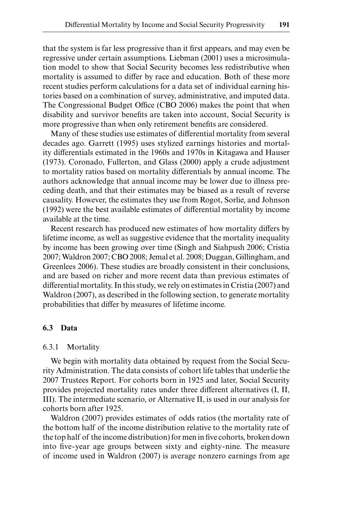that the system is far less progressive than it first appears, and may even be regressive under certain assumptions. Liebman (2001) uses a microsimulation model to show that Social Security becomes less redistributive when mortality is assumed to differ by race and education. Both of these more recent studies perform calculations for a data set of individual earning histories based on a combination of survey, administrative, and imputed data. The Congressional Budget Office (CBO 2006) makes the point that when disability and survivor benefits are taken into account, Social Security is more progressive than when only retirement benefits are considered.

Many of these studies use estimates of differential mortality from several decades ago. Garrett (1995) uses stylized earnings histories and mortality differentials estimated in the 1960s and 1970s in Kitagawa and Hauser (1973). Coronado, Fullerton, and Glass (2000) apply a crude adjustment to mortality ratios based on mortality differentials by annual income. The authors acknowledge that annual income may be lower due to illness preceding death, and that their estimates may be biased as a result of reverse causality. However, the estimates they use from Rogot, Sorlie, and Johnson (1992) were the best available estimates of differential mortality by income available at the time.

Recent research has produced new estimates of how mortality differs by lifetime income, as well as suggestive evidence that the mortality inequality by income has been growing over time (Singh and Siahpush 2006; Cristia 2007; Waldron 2007; CBO 2008; Jemal et al. 2008; Duggan, Gillingham, and Greenlees 2006). These studies are broadly consistent in their conclusions, and are based on richer and more recent data than previous estimates of differential mortality. In this study, we rely on estimates in Cristia (2007) and Waldron (2007), as described in the following section, to generate mortality probabilities that differ by measures of lifetime income.

# **6.3 Data**

#### 6.3.1 Mortality

We begin with mortality data obtained by request from the Social Security Administration. The data consists of cohort life tables that underlie the 2007 Trustees Report. For cohorts born in 1925 and later, Social Security provides projected mortality rates under three different alternatives (I, II, III). The intermediate scenario, or Alternative II, is used in our analysis for cohorts born after 1925.

Waldron (2007) provides estimates of odds ratios (the mortality rate of the bottom half of the income distribution relative to the mortality rate of the top half of the income distribution) for men in five cohorts, broken down into five-year age groups between sixty and eighty-nine. The measure of income used in Waldron (2007) is average nonzero earnings from age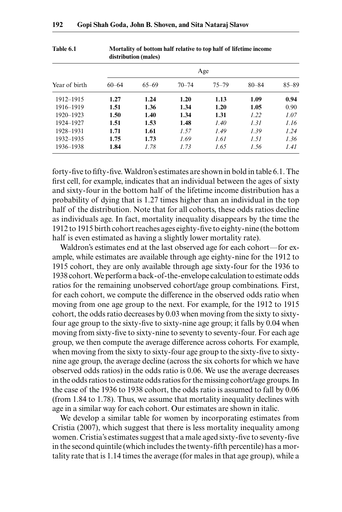|               | distribution (males) |           |           |           |           |           |  |
|---------------|----------------------|-----------|-----------|-----------|-----------|-----------|--|
| Year of birth | Age                  |           |           |           |           |           |  |
|               | $60 - 64$            | $65 - 69$ | $70 - 74$ | $75 - 79$ | $80 - 84$ | $85 - 89$ |  |
| 1912-1915     | 1.27                 | 1.24      | 1.20      | 1.13      | 1.09      | 0.94      |  |
| 1916-1919     | 1.51                 | 1.36      | 1.34      | 1.20      | 1.05      | 0.90      |  |
| 1920-1923     | 1.50                 | 1.40      | 1.34      | 1.31      | 1.22      | 1.07      |  |
| 1924-1927     | 1.51                 | 1.53      | 1.48      | 1.40      | 1.31      | 1.16      |  |
| 1928-1931     | 1.71                 | 1.61      | 1.57      | 1.49      | 1.39      | 1.24      |  |
| 1932-1935     | 1.75                 | 1.73      | 1.69      | 1.61      | 1.51      | 1.36      |  |
| 1936–1938     | 1.84                 | 1.78      | 1.73      | 1.65      | 1.56      | 1.41      |  |

**Table 6.1 Mortality of bottom half relative to top half of lifetime income** 

forty-five to fifty-five. Waldron's estimates are shown in bold in table 6.1. The first cell, for example, indicates that an individual between the ages of sixty and sixty- four in the bottom half of the lifetime income distribution has a probability of dying that is 1.27 times higher than an individual in the top half of the distribution. Note that for all cohorts, these odds ratios decline as individuals age. In fact, mortality inequality disappears by the time the 1912 to 1915 birth cohort reaches ages eighty- fi ve to eighty- nine (the bottom half is even estimated as having a slightly lower mortality rate).

Waldron's estimates end at the last observed age for each cohort—for example, while estimates are available through age eighty- nine for the 1912 to 1915 cohort, they are only available through age sixty- four for the 1936 to 1938 cohort. We perform a back- of- the- envelope calculation to estimate odds ratios for the remaining unobserved cohort/age group combinations. First, for each cohort, we compute the difference in the observed odds ratio when moving from one age group to the next. For example, for the 1912 to 1915 cohort, the odds ratio decreases by 0.03 when moving from the sixty to sixty four age group to the sixty-five to sixty-nine age group; it falls by 0.04 when moving from sixty-five to sixty-nine to seventy to seventy-four. For each age group, we then compute the average difference across cohorts. For example, when moving from the sixty to sixty-four age group to the sixty-five to sixty nine age group, the average decline (across the six cohorts for which we have observed odds ratios) in the odds ratio is 0.06. We use the average decreases in the odds ratios to estimate odds ratios for the missing cohort/age groups. In the case of the 1936 to 1938 cohort, the odds ratio is assumed to fall by 0.06 (from 1.84 to 1.78). Thus, we assume that mortality inequality declines with age in a similar way for each cohort. Our estimates are shown in italic.

We develop a similar table for women by incorporating estimates from Cristia (2007), which suggest that there is less mortality inequality among women. Cristia's estimates suggest that a male aged sixty-five to seventy-five in the second quintile (which includes the twenty-fifth percentile) has a mortality rate that is 1.14 times the average (for males in that age group), while a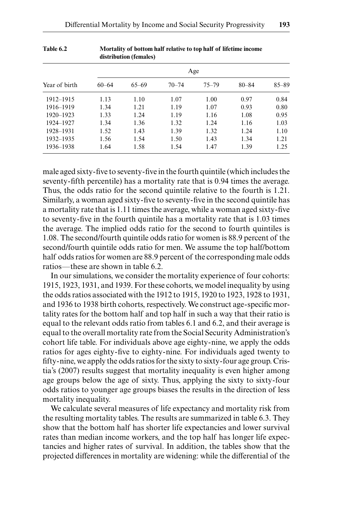|               | distribution (females)<br>Age |           |           |           |           |           |  |
|---------------|-------------------------------|-----------|-----------|-----------|-----------|-----------|--|
| Year of birth |                               |           |           |           |           |           |  |
|               | $60 - 64$                     | $65 - 69$ | $70 - 74$ | $75 - 79$ | $80 - 84$ | $85 - 89$ |  |
| 1912-1915     | 1.13                          | 1.10      | 1.07      | 1.00      | 0.97      | 0.84      |  |
| 1916-1919     | 1.34                          | 1.21      | 1.19      | 1.07      | 0.93      | 0.80      |  |
| 1920–1923     | 1.33                          | 1.24      | 1.19      | 1.16      | 1.08      | 0.95      |  |
| 1924-1927     | 1.34                          | 1.36      | 1.32      | 1.24      | 1.16      | 1.03      |  |
| 1928-1931     | 1.52                          | 1.43      | 1.39      | 1.32      | 1.24      | 1.10      |  |
| 1932-1935     | 1.56                          | 1.54      | 1.50      | 1.43      | 1.34      | 1.21      |  |
| 1936–1938     | 1.64                          | 1.58      | 1.54      | 1.47      | 1.39      | 1.25      |  |

| <b>Table 6.2</b> | Mortality of bottom half relative to top half of lifetime income |
|------------------|------------------------------------------------------------------|
|                  | distribution (females)                                           |

male aged sixty-five to seventy-five in the fourth quintile (which includes the seventy-fifth percentile) has a mortality rate that is 0.94 times the average. Thus, the odds ratio for the second quintile relative to the fourth is 1.21. Similarly, a woman aged sixty-five to seventy-five in the second quintile has a mortality rate that is 1.11 times the average, while a woman aged sixty-five to seventy-five in the fourth quintile has a mortality rate that is 1.03 times the average. The implied odds ratio for the second to fourth quintiles is 1.08. The second/fourth quintile odds ratio for women is 88.9 percent of the second/fourth quintile odds ratio for men. We assume the top half/bottom half odds ratios for women are 88.9 percent of the corresponding male odds ratios—these are shown in table 6.2.

In our simulations, we consider the mortality experience of four cohorts: 1915, 1923, 1931, and 1939. For these cohorts, we model inequality by using the odds ratios associated with the 1912 to 1915, 1920 to 1923, 1928 to 1931, and 1936 to 1938 birth cohorts, respectively. We construct age-specific mortality rates for the bottom half and top half in such a way that their ratio is equal to the relevant odds ratio from tables 6.1 and 6.2, and their average is equal to the overall mortality rate from the Social Security Administration's cohort life table. For individuals above age eighty- nine, we apply the odds ratios for ages eighty-five to eighty-nine. For individuals aged twenty to fifty-nine, we apply the odds ratios for the sixty to sixty-four age group. Cristia's (2007) results suggest that mortality inequality is even higher among age groups below the age of sixty. Thus, applying the sixty to sixty- four odds ratios to younger age groups biases the results in the direction of less mortality inequality.

We calculate several measures of life expectancy and mortality risk from the resulting mortality tables. The results are summarized in table 6.3. They show that the bottom half has shorter life expectancies and lower survival rates than median income workers, and the top half has longer life expectancies and higher rates of survival. In addition, the tables show that the projected differences in mortality are widening: while the differential of the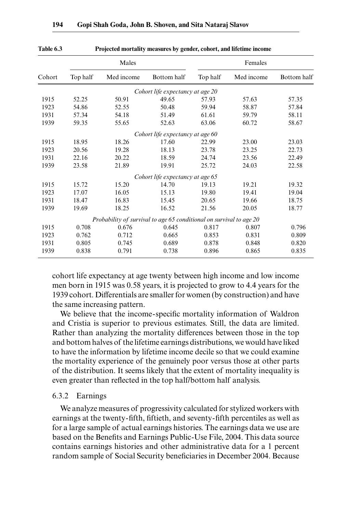|        |          | Males                                                               |                                  |          | Females    |             |  |  |
|--------|----------|---------------------------------------------------------------------|----------------------------------|----------|------------|-------------|--|--|
| Cohort | Top half | Med income                                                          | Bottom half                      | Top half | Med income | Bottom half |  |  |
|        |          |                                                                     | Cohort life expectancy at age 20 |          |            |             |  |  |
| 1915   | 52.25    | 50.91                                                               | 49.65                            | 57.93    | 57.63      | 57.35       |  |  |
| 1923   | 54.86    | 52.55                                                               | 50.48                            | 59.94    | 58.87      | 57.84       |  |  |
| 1931   | 57.34    | 54.18                                                               | 51.49                            | 61.61    | 59.79      | 58.11       |  |  |
| 1939   | 59.35    | 55.65                                                               | 52.63                            | 63.06    | 60.72      | 58.67       |  |  |
|        |          |                                                                     | Cohort life expectancy at age 60 |          |            |             |  |  |
| 1915   | 18.95    | 18.26                                                               | 17.60                            | 22.99    | 23.00      | 23.03       |  |  |
| 1923   | 20.56    | 19.28                                                               | 18.13                            | 23.78    | 23.25      | 22.73       |  |  |
| 1931   | 22.16    | 20.22                                                               | 18.59                            | 24.74    | 23.56      | 22.49       |  |  |
| 1939   | 23.58    | 21.89                                                               | 19.91                            | 25.72    | 24.03      | 22.58       |  |  |
|        |          |                                                                     | Cohort life expectancy at age 65 |          |            |             |  |  |
| 1915   | 15.72    | 15.20                                                               | 14.70                            | 19.13    | 19.21      | 19.32       |  |  |
| 1923   | 17.07    | 16.05                                                               | 15.13                            | 19.80    | 19.41      | 19.04       |  |  |
| 1931   | 18.47    | 16.83                                                               | 15.45                            | 20.65    | 19.66      | 18.75       |  |  |
| 1939   | 19.69    | 18.25                                                               | 16.52                            | 21.56    | 20.05      | 18.77       |  |  |
|        |          | Probability of survival to age 65 conditional on survival to age 20 |                                  |          |            |             |  |  |
| 1915   | 0.708    | 0.676                                                               | 0.645                            | 0.817    | 0.807      | 0.796       |  |  |
| 1923   | 0.762    | 0.712                                                               | 0.665                            | 0.853    | 0.831      | 0.809       |  |  |
| 1931   | 0.805    | 0.745                                                               | 0.689                            | 0.878    | 0.848      | 0.820       |  |  |
| 1939   | 0.838    | 0.791                                                               | 0.738                            | 0.896    | 0.865      | 0.835       |  |  |
|        |          |                                                                     |                                  |          |            |             |  |  |

**Table 6.3 Projected mortality measures by gender, cohort, and lifetime income**

cohort life expectancy at age twenty between high income and low income men born in 1915 was 0.58 years, it is projected to grow to 4.4 years for the 1939 cohort. Differentials are smaller for women (by construction) and have the same increasing pattern.

We believe that the income-specific mortality information of Waldron and Cristia is superior to previous estimates. Still, the data are limited. Rather than analyzing the mortality differences between those in the top and bottom halves of the lifetime earnings distributions, we would have liked to have the information by lifetime income decile so that we could examine the mortality experience of the genuinely poor versus those at other parts of the distribution. It seems likely that the extent of mortality inequality is even greater than reflected in the top half/bottom half analysis.

#### 6.3.2 Earnings

We analyze measures of progressivity calculated for stylized workers with earnings at the twenty-fifth, fiftieth, and seventy-fifth percentiles as well as for a large sample of actual earnings histories. The earnings data we use are based on the Benefits and Earnings Public-Use File, 2004. This data source contains earnings histories and other administrative data for a 1 percent random sample of Social Security beneficiaries in December 2004. Because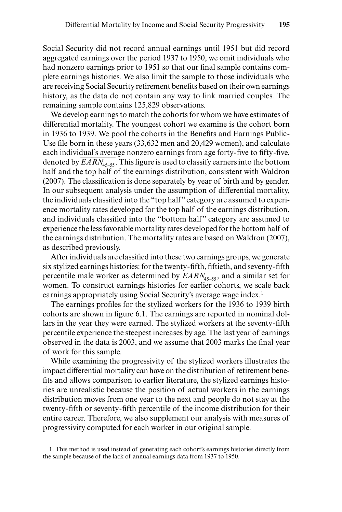Social Security did not record annual earnings until 1951 but did record aggregated earnings over the period 1937 to 1950, we omit individuals who had nonzero earnings prior to 1951 so that our final sample contains complete earnings histories. We also limit the sample to those individuals who are receiving Social Security retirement benefits based on their own earnings history, as the data do not contain any way to link married couples. The remaining sample contains 125,829 observations.

We develop earnings to match the cohorts for whom we have estimates of differential mortality. The youngest cohort we examine is the cohort born in 1936 to 1939. We pool the cohorts in the Benefits and Earnings Public-Use file born in these years (33,632 men and 20,429 women), and calculate each individual's average nonzero earnings from age forty-five to fifty-five, denoted by  $\text{EARN}_{45-55}$ . This figure is used to classify earners into the bottom half and the top half of the earnings distribution, consistent with Waldron  $(2007)$ . The classification is done separately by year of birth and by gender. In our subsequent analysis under the assumption of differential mortality, the individuals classified into the "top half" category are assumed to experience mortality rates developed for the top half of the earnings distribution, and individuals classified into the "bottom half" category are assumed to experience the less favorable mortality rates developed for the bottom half of the earnings distribution. The mortality rates are based on Waldron (2007), as described previously.

After individuals are classified into these two earnings groups, we generate six stylized earnings histories: for the twenty-fifth, fiftieth, and seventy-fifth percentile male worker as determined by  $EARN_{45-55}$ , and a similar set for women. To construct earnings histories for earlier cohorts, we scale back earnings appropriately using Social Security's average wage index.<sup>1</sup>

The earnings profiles for the stylized workers for the 1936 to 1939 birth cohorts are shown in figure 6.1. The earnings are reported in nominal dollars in the year they were earned. The stylized workers at the seventy-fifth percentile experience the steepest increases by age. The last year of earnings observed in the data is 2003, and we assume that 2003 marks the final year of work for this sample.

While examining the progressivity of the stylized workers illustrates the impact differential mortality can have on the distribution of retirement benefits and allows comparison to earlier literature, the stylized earnings histories are unrealistic because the position of actual workers in the earnings distribution moves from one year to the next and people do not stay at the twenty-fifth or seventy-fifth percentile of the income distribution for their entire career. Therefore, we also supplement our analysis with measures of progressivity computed for each worker in our original sample.

1. This method is used instead of generating each cohort's earnings histories directly from the sample because of the lack of annual earnings data from 1937 to 1950.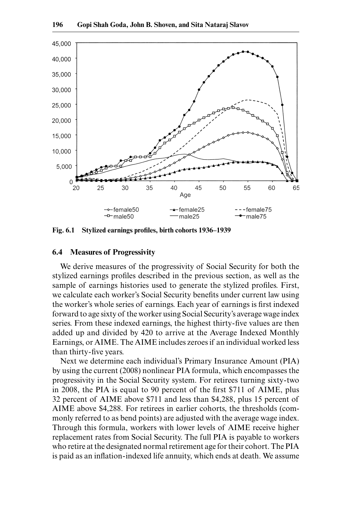

Fig. 6.1 Stylized earnings profiles, birth cohorts 1936–1939

#### **6.4 Measures of Progressivity**

We derive measures of the progressivity of Social Security for both the stylized earnings profiles described in the previous section, as well as the sample of earnings histories used to generate the stylized profiles. First, we calculate each worker's Social Security benefits under current law using the worker's whole series of earnings. Each year of earnings is first indexed forward to age sixty of the worker using Social Security's average wage index series. From these indexed earnings, the highest thirty-five values are then added up and divided by 420 to arrive at the Average Indexed Monthly Earnings, or AIME. The AIME includes zeroes if an individual worked less than thirty-five years.

Next we determine each individual's Primary Insurance Amount (PIA) by using the current (2008) nonlinear PIA formula, which encompasses the progressivity in the Social Security system. For retirees turning sixty- two in 2008, the PIA is equal to 90 percent of the first \$711 of AIME, plus 32 percent of AIME above \$711 and less than \$4,288, plus 15 percent of AIME above \$4,288. For retirees in earlier cohorts, the thresholds (commonly referred to as bend points) are adjusted with the average wage index. Through this formula, workers with lower levels of AIME receive higher replacement rates from Social Security. The full PIA is payable to workers who retire at the designated normal retirement age for their cohort. The PIA is paid as an inflation-indexed life annuity, which ends at death. We assume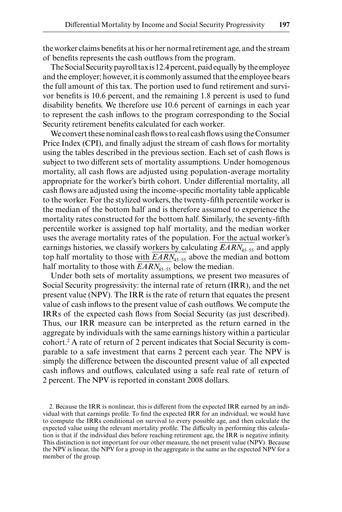the worker claims benefits at his or her normal retirement age, and the stream of benefits represents the cash outflows from the program.

The Social Security payroll tax is 12.4 percent, paid equally by the employee and the employer; however, it is commonly assumed that the employee bears the full amount of this tax. The portion used to fund retirement and survivor benefits is 10.6 percent, and the remaining 1.8 percent is used to fund disability benefits. We therefore use 10.6 percent of earnings in each year to represent the cash inflows to the program corresponding to the Social Security retirement benefits calculated for each worker.

We convert these nominal cash flows to real cash flows using the Consumer Price Index (CPI), and finally adjust the stream of cash flows for mortality using the tables described in the previous section. Each set of cash flows is subject to two different sets of mortality assumptions. Under homogenous mortality, all cash flows are adjusted using population-average mortality appropriate for the worker's birth cohort. Under differential mortality, all cash flows are adjusted using the income-specific mortality table applicable to the worker. For the stylized workers, the twenty-fifth percentile worker is the median of the bottom half and is therefore assumed to experience the mortality rates constructed for the bottom half. Similarly, the seventy-fifth percentile worker is assigned top half mortality, and the median worker uses the average mortality rates of the population. For the actual worker's earnings histories, we classify workers by calculating  $EARN_{45-55}$  and apply top half mortality to those with  $\frac{EARN_{45-55}}{2}$  above the median and bottom half mortality to those with  $EARN_{45-55}$  below the median.

Under both sets of mortality assumptions, we present two measures of Social Security progressivity: the internal rate of return (IRR), and the net present value (NPV). The IRR is the rate of return that equates the present value of cash inflows to the present value of cash outflows. We compute the IRRs of the expected cash flows from Social Security (as just described). Thus, our IRR measure can be interpreted as the return earned in the aggregate by individuals with the same earnings history within a particular cohort.2 A rate of return of 2 percent indicates that Social Security is comparable to a safe investment that earns 2 percent each year. The NPV is simply the difference between the discounted present value of all expected cash inflows and outflows, calculated using a safe real rate of return of 2 percent. The NPV is reported in constant 2008 dollars.

<sup>2.</sup> Because the IRR is nonlinear, this is different from the expected IRR earned by an individual with that earnings profile. To find the expected IRR for an individual, we would have to compute the IRRs conditional on survival to every possible age, and then calculate the expected value using the relevant mortality profile. The difficulty in performing this calculation is that if the individual dies before reaching retirement age, the IRR is negative infinity. This distinction is not important for our other measure, the net present value (NPV). Because the NPV is linear, the NPV for a group in the aggregate is the same as the expected NPV for a member of the group.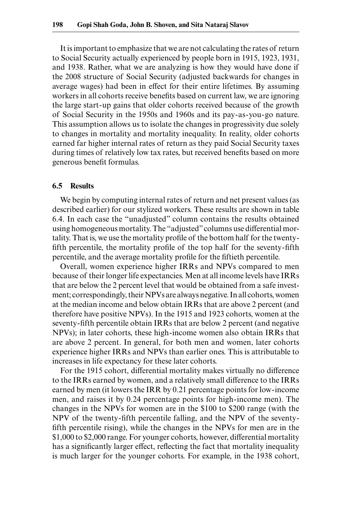It is important to emphasize that we are not calculating the rates of return to Social Security actually experienced by people born in 1915, 1923, 1931, and 1938. Rather, what we are analyzing is how they would have done if the 2008 structure of Social Security (adjusted backwards for changes in average wages) had been in effect for their entire lifetimes. By assuming workers in all cohorts receive benefits based on current law, we are ignoring the large start- up gains that older cohorts received because of the growth of Social Security in the 1950s and 1960s and its pay- as- you- go nature. This assumption allows us to isolate the changes in progressivity due solely to changes in mortality and mortality inequality. In reality, older cohorts earned far higher internal rates of return as they paid Social Security taxes during times of relatively low tax rates, but received benefits based on more generous benefit formulas.

#### **6.5 Results**

We begin by computing internal rates of return and net present values (as described earlier) for our stylized workers. These results are shown in table 6.4. In each case the "unadjusted" column contains the results obtained using homogeneous mortality. The "adjusted" columns use differential mortality. That is, we use the mortality profile of the bottom half for the twentyfifth percentile, the mortality profile of the top half for the seventy-fifth percentile, and the average mortality profile for the fiftieth percentile.

Overall, women experience higher IRRs and NPVs compared to men because of their longer life expectancies. Men at all income levels have IRRs that are below the 2 percent level that would be obtained from a safe investment; correspondingly, their NPVs are always negative. In all cohorts, women at the median income and below obtain IRRs that are above 2 percent (and therefore have positive NPVs). In the 1915 and 1923 cohorts, women at the seventy-fifth percentile obtain IRRs that are below 2 percent (and negative NPVs); in later cohorts, these high- income women also obtain IRRs that are above 2 percent. In general, for both men and women, later cohorts experience higher IRRs and NPVs than earlier ones. This is attributable to increases in life expectancy for these later cohorts.

For the 1915 cohort, differential mortality makes virtually no difference to the IRRs earned by women, and a relatively small difference to the IRRs earned by men (it lowers the IRR by 0.21 percentage points for low- income men, and raises it by 0.24 percentage points for high- income men). The changes in the NPVs for women are in the \$100 to \$200 range (with the NPV of the twenty-fifth percentile falling, and the NPV of the seventyfifth percentile rising), while the changes in the NPVs for men are in the \$1,000 to \$2,000 range. For younger cohorts, however, differential mortality has a significantly larger effect, reflecting the fact that mortality inequality is much larger for the younger cohorts. For example, in the 1938 cohort,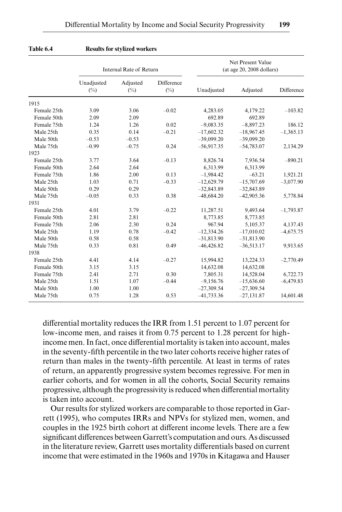|             | Internal Rate of Return |                    |                      |              | Net Present Value<br>(at age 20, 2008 dollars) |             |
|-------------|-------------------------|--------------------|----------------------|--------------|------------------------------------------------|-------------|
|             | Unadjusted<br>$(\%)$    | Adjusted<br>$(\%)$ | Difference<br>$(\%)$ | Unadjusted   | Adjusted                                       | Difference  |
| 1915        |                         |                    |                      |              |                                                |             |
| Female 25th | 3.09                    | 3.06               | $-0.02$              | 4,283.05     | 4,179.22                                       | $-103.82$   |
| Female 50th | 2.09                    | 2.09               |                      | 692.89       | 692.89                                         |             |
| Female 75th | 1.24                    | 1.26               | 0.02                 | $-9.083.35$  | $-8,897.23$                                    | 186.12      |
| Male 25th   | 0.35                    | 0.14               | $-0.21$              | $-17,602.32$ | $-18,967.45$                                   | $-1,365.13$ |
| Male 50th   | $-0.53$                 | $-0.53$            |                      | $-39,099.20$ | $-39,099.20$                                   |             |
| Male 75th   | $-0.99$                 | $-0.75$            | 0.24                 | $-56,917.35$ | $-54,783.07$                                   | 2,134.29    |
| 1923        |                         |                    |                      |              |                                                |             |
| Female 25th | 3.77                    | 3.64               | $-0.13$              | 8,826.74     | 7,936.54                                       | $-890.21$   |
| Female 50th | 2.64                    | 2.64               |                      | 6,313.99     | 6.313.99                                       |             |
| Female 75th | 1.86                    | 2.00               | 0.13                 | $-1,984.42$  | $-63.21$                                       | 1,921.21    |
| Male 25th   | 1.03                    | 0.71               | $-0.33$              | $-12,629.79$ | $-15,707.69$                                   | $-3,077.90$ |
| Male 50th   | 0.29                    | 0.29               |                      | $-32,843.89$ | $-32,843.89$                                   |             |
| Male 75th   | $-0.05$                 | 0.33               | 0.38                 | $-48,684.20$ | $-42,905.36$                                   | 5,778.84    |
| 1931        |                         |                    |                      |              |                                                |             |
| Female 25th | 4.01                    | 3.79               | $-0.22$              | 11,287.51    | 9,493.64                                       | $-1,793.87$ |
| Female 50th | 2.81                    | 2.81               |                      | 8,773.85     | 8,773.85                                       |             |
| Female 75th | 2.06                    | 2.30               | 0.24                 | 967.94       | 5,105.37                                       | 4,137.43    |
| Male 25th   | 1.19                    | 0.78               | $-0.42$              | $-12,334.26$ | $-17,010.02$                                   | $-4,675.75$ |
| Male 50th   | 0.58                    | 0.58               |                      | $-31,813.90$ | $-31,813.90$                                   |             |
| Male 75th   | 0.33                    | 0.81               | 0.49                 | $-46,426.82$ | $-36,513.17$                                   | 9,913.65    |
| 1938        |                         |                    |                      |              |                                                |             |
| Female 25th | 4.41                    | 4.14               | $-0.27$              | 15,994.82    | 13,224.33                                      | $-2,770.49$ |
| Female 50th | 3.15                    | 3.15               |                      | 14,632.08    | 14,632.08                                      |             |
| Female 75th | 2.41                    | 2.71               | 0.30                 | 7,805.31     | 14,528.04                                      | 6,722.73    |
| Male 25th   | 1.51                    | 1.07               | $-0.44$              | $-9,156.76$  | $-15,636.60$                                   | $-6,479.83$ |
| Male 50th   | 1.00                    | 1.00               |                      | $-27,309.54$ | $-27,309.54$                                   |             |
| Male 75th   | 0.75                    | 1.28               | 0.53                 | $-41,733.36$ | $-27,131.87$                                   | 14,601.48   |

#### **Table 6.4 Results for stylized workers**

differential mortality reduces the IRR from 1.51 percent to 1.07 percent for low- income men, and raises it from 0.75 percent to 1.28 percent for high income men. In fact, once differential mortality is taken into account, males in the seventy-fifth percentile in the two later cohorts receive higher rates of return than males in the twenty-fifth percentile. At least in terms of rates of return, an apparently progressive system becomes regressive. For men in earlier cohorts, and for women in all the cohorts, Social Security remains progressive, although the progressivity is reduced when differential mortality is taken into account.

Our results for stylized workers are comparable to those reported in Garrett (1995), who computes IRRs and NPVs for stylized men, women, and couples in the 1925 birth cohort at different income levels. There are a few significant differences between Garrett's computation and ours. As discussed in the literature review, Garrett uses mortality differentials based on current income that were estimated in the 1960s and 1970s in Kitagawa and Hauser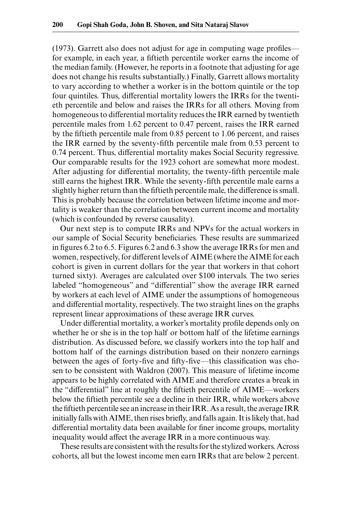$(1973)$ . Garrett also does not adjust for age in computing wage profiles for example, in each year, a fiftieth percentile worker earns the income of the median family. (However, he reports in a footnote that adjusting for age does not change his results substantially.) Finally, Garrett allows mortality to vary according to whether a worker is in the bottom quintile or the top four quintiles. Thus, differential mortality lowers the IRRs for the twentieth percentile and below and raises the IRRs for all others. Moving from homogeneous to differential mortality reduces the IRR earned by twentieth percentile males from 1.62 percent to 0.47 percent, raises the IRR earned by the fiftieth percentile male from 0.85 percent to 1.06 percent, and raises the IRR earned by the seventy-fifth percentile male from  $0.53$  percent to 0.74 percent. Thus, differential mortality makes Social Security regressive. Our comparable results for the 1923 cohort are somewhat more modest. After adjusting for differential mortality, the twenty-fifth percentile male still earns the highest IRR. While the seventy-fifth percentile male earns a slightly higher return than the fiftieth percentile male, the difference is small. This is probably because the correlation between lifetime income and mortality is weaker than the correlation between current income and mortality (which is confounded by reverse causality).

Our next step is to compute IRRs and NPVs for the actual workers in our sample of Social Security beneficiaries. These results are summarized in figures 6.2 to 6.5. Figures 6.2 and 6.3 show the average IRRs for men and women, respectively, for different levels of AIME (where the AIME for each cohort is given in current dollars for the year that workers in that cohort turned sixty). Averages are calculated over \$100 intervals. The two series labeled "homogeneous" and "differential" show the average IRR earned by workers at each level of AIME under the assumptions of homogeneous and differential mortality, respectively. The two straight lines on the graphs represent linear approximations of these average IRR curves.

Under differential mortality, a worker's mortality profile depends only on whether he or she is in the top half or bottom half of the lifetime earnings distribution. As discussed before, we classify workers into the top half and bottom half of the earnings distribution based on their nonzero earnings between the ages of forty-five and fifty-five—this classification was chosen to be consistent with Waldron (2007). This measure of lifetime income appears to be highly correlated with AIME and therefore creates a break in the "differential" line at roughly the fiftieth percentile of AIME—workers below the fiftieth percentile see a decline in their IRR, while workers above the fiftieth percentile see an increase in their IRR. As a result, the average IRR initially falls with AIME, then rises briefly, and falls again. It is likely that, had differential mortality data been available for finer income groups, mortality inequality would affect the average IRR in a more continuous way.

These results are consistent with the results for the stylized workers. Across cohorts, all but the lowest income men earn IRRs that are below 2 percent.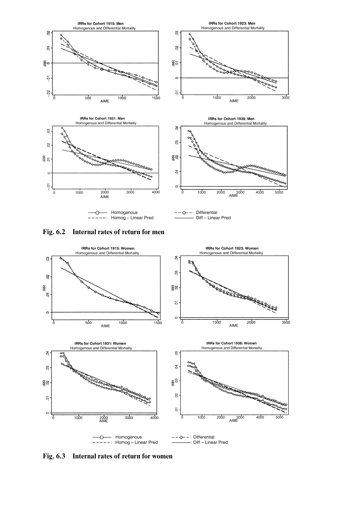





**Fig. 6.3 Internal rates of return for women**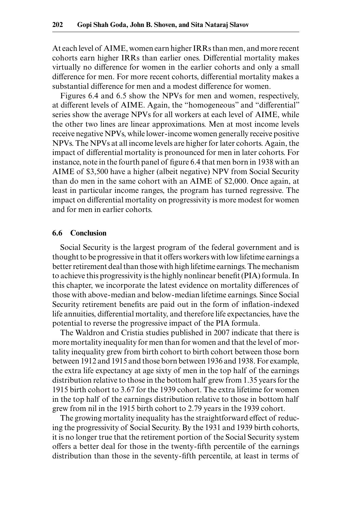At each level of AIME, women earn higher IRRs than men, and more recent cohorts earn higher IRRs than earlier ones. Differential mortality makes virtually no difference for women in the earlier cohorts and only a small difference for men. For more recent cohorts, differential mortality makes a substantial difference for men and a modest difference for women.

Figures 6.4 and 6.5 show the NPVs for men and women, respectively, at different levels of AIME. Again, the "homogeneous" and "differential" series show the average NPVs for all workers at each level of AIME, while the other two lines are linear approximations. Men at most income levels receive negative NPVs, while lower- income women generally receive positive NPVs. The NPVs at all income levels are higher for later cohorts. Again, the impact of differential mortality is pronounced for men in later cohorts. For instance, note in the fourth panel of figure 6.4 that men born in 1938 with an AIME of \$3,500 have a higher (albeit negative) NPV from Social Security than do men in the same cohort with an AIME of \$2,000. Once again, at least in particular income ranges, the program has turned regressive. The impact on differential mortality on progressivity is more modest for women and for men in earlier cohorts.

## **6.6 Conclusion**

Social Security is the largest program of the federal government and is thought to be progressive in that it offers workers with low lifetime earnings a better retirement deal than those with high lifetime earnings. The mechanism to achieve this progressivity is the highly nonlinear benefit (PIA) formula. In this chapter, we incorporate the latest evidence on mortality differences of those with above- median and below- median lifetime earnings. Since Social Security retirement benefits are paid out in the form of inflation-indexed life annuities, differential mortality, and therefore life expectancies, have the potential to reverse the progressive impact of the PIA formula.

The Waldron and Cristia studies published in 2007 indicate that there is more mortality inequality for men than for women and that the level of mortality inequality grew from birth cohort to birth cohort between those born between 1912 and 1915 and those born between 1936 and 1938. For example, the extra life expectancy at age sixty of men in the top half of the earnings distribution relative to those in the bottom half grew from 1.35 years for the 1915 birth cohort to 3.67 for the 1939 cohort. The extra lifetime for women in the top half of the earnings distribution relative to those in bottom half grew from nil in the 1915 birth cohort to 2.79 years in the 1939 cohort.

The growing mortality inequality has the straightforward effect of reducing the progressivity of Social Security. By the 1931 and 1939 birth cohorts, it is no longer true that the retirement portion of the Social Security system offers a better deal for those in the twenty-fifth percentile of the earnings distribution than those in the seventy-fifth percentile, at least in terms of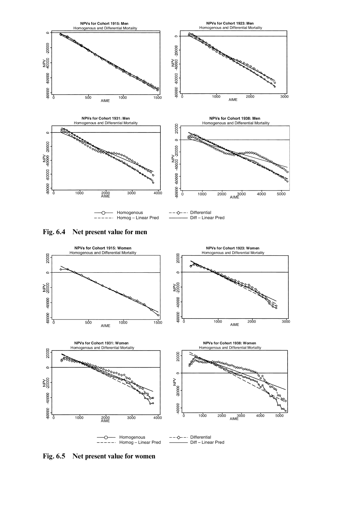





**Fig. 6.5 Net present value for women**